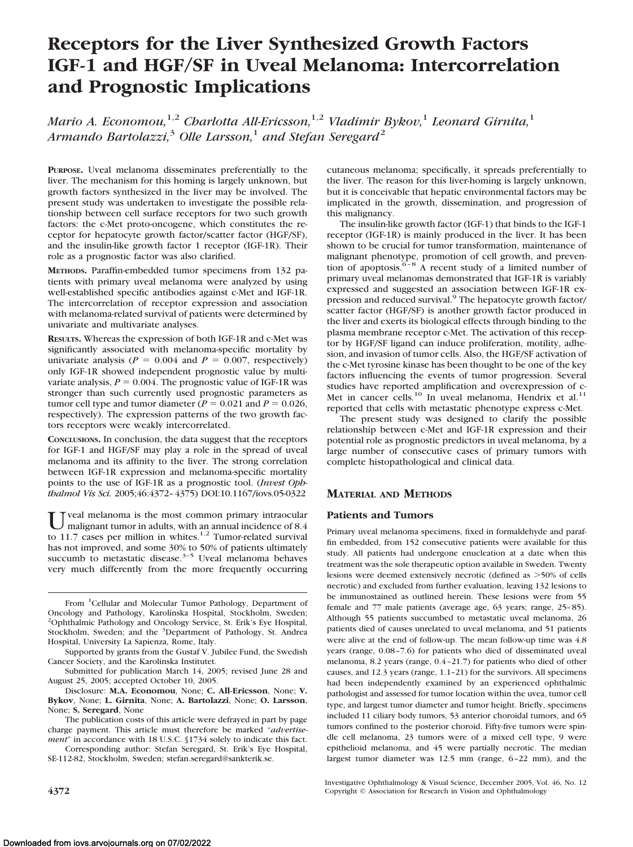# **Receptors for the Liver Synthesized Growth Factors IGF-1 and HGF/SF in Uveal Melanoma: Intercorrelation and Prognostic Implications**

*Mario A. Economou,*1,2 *Charlotta All-Ericsson,*1,2 *Vladimir Bykov,*<sup>1</sup> *Leonard Girnita,*<sup>1</sup> *Armando Bartolazzi,*<sup>3</sup> *Olle Larsson,*<sup>1</sup> *and Stefan Seregard*<sup>2</sup>

**PURPOSE.** Uveal melanoma disseminates preferentially to the liver. The mechanism for this homing is largely unknown, but growth factors synthesized in the liver may be involved. The present study was undertaken to investigate the possible relationship between cell surface receptors for two such growth factors: the c-Met proto-oncogene, which constitutes the receptor for hepatocyte growth factor/scatter factor (HGF/SF), and the insulin-like growth factor 1 receptor (IGF-1R). Their role as a prognostic factor was also clarified.

**METHODS.** Paraffin-embedded tumor specimens from 132 patients with primary uveal melanoma were analyzed by using well-established specific antibodies against c-Met and IGF-1R. The intercorrelation of receptor expression and association with melanoma-related survival of patients were determined by univariate and multivariate analyses.

**RESULTS.** Whereas the expression of both IGF-1R and c-Met was significantly associated with melanoma-specific mortality by univariate analysis ( $P = 0.004$  and  $P = 0.007$ , respectively) only IGF-1R showed independent prognostic value by multivariate analysis,  $P = 0.004$ . The prognostic value of IGF-1R was stronger than such currently used prognostic parameters as tumor cell type and tumor diameter ( $P = 0.021$  and  $P = 0.026$ , respectively). The expression patterns of the two growth factors receptors were weakly intercorrelated.

**CONCLUSIONS.** In conclusion, the data suggest that the receptors for IGF-1 and HGF/SF may play a role in the spread of uveal melanoma and its affinity to the liver. The strong correlation between IGF-1R expression and melanoma-specific mortality points to the use of IGF-1R as a prognostic tool. (*Invest Ophthalmol Vis Sci.* 2005;46:4372–4375) DOI:10.1167/iovs.05-0322

U veal melanoma is the most common primary intraocular<br>to 11.7 cases per million in whites.<sup>1,2</sup> Tumor-related survival has not improved, and some 30% to 50% of patients ultimately succumb to metastatic disease.<sup>3-5</sup> Uveal melanoma behaves very much differently from the more frequently occurring

Disclosure: **M.A. Economou**, None; **C. All-Ericsson**, None; **V. Bykov**, None; **L. Girnita**, None; **A. Bartolazzi**, None; **O. Larsson**, None; **S. Seregard**, None

The publication costs of this article were defrayed in part by page charge payment. This article must therefore be marked "*advertisement*" in accordance with 18 U.S.C. §1734 solely to indicate this fact.

Corresponding author: Stefan Seregard, St. Erik's Eye Hospital, SE-112-82, Stockholm, Sweden; stefan.seregard@sankterik.se.

cutaneous melanoma; specifically, it spreads preferentially to the liver. The reason for this liver-homing is largely unknown, but it is conceivable that hepatic environmental factors may be implicated in the growth, dissemination, and progression of this malignancy.

The insulin-like growth factor (IGF-1) that binds to the IGF-1 receptor (IGF-1R) is mainly produced in the liver. It has been shown to be crucial for tumor transformation, maintenance of malignant phenotype, promotion of cell growth, and prevention of apoptosis.<sup>6–8</sup> A recent study of a limited number of primary uveal melanomas demonstrated that IGF-1R is variably expressed and suggested an association between IGF-1R expression and reduced survival.<sup>9</sup> The hepatocyte growth factor/ scatter factor (HGF/SF) is another growth factor produced in the liver and exerts its biological effects through binding to the plasma membrane receptor c-Met. The activation of this receptor by HGF/SF ligand can induce proliferation, motility, adhesion, and invasion of tumor cells. Also, the HGF/SF activation of the c-Met tyrosine kinase has been thought to be one of the key factors influencing the events of tumor progression. Several studies have reported amplification and overexpression of c-Met in cancer cells.<sup>10</sup> In uveal melanoma, Hendrix et al.<sup>11</sup> reported that cells with metastatic phenotype express c-Met.

The present study was designed to clarify the possible relationship between c-Met and IGF-1R expression and their potential role as prognostic predictors in uveal melanoma, by a large number of consecutive cases of primary tumors with complete histopathological and clinical data.

## **MATERIAL AND METHODS**

### **Patients and Tumors**

Primary uveal melanoma specimens, fixed in formaldehyde and paraffin embedded, from 152 consecutive patients were available for this study. All patients had undergone enucleation at a date when this treatment was the sole therapeutic option available in Sweden. Twenty lesions were deemed extensively necrotic (defined as >50% of cells necrotic) and excluded from further evaluation, leaving 132 lesions to be immunostained as outlined herein. These lesions were from 55 female and 77 male patients (average age, 63 years; range, 25-85). Although 55 patients succumbed to metastatic uveal melanoma, 26 patients died of causes unrelated to uveal melanoma, and 51 patients were alive at the end of follow-up. The mean follow-up time was 4.8 years (range, 0.08 –7.6) for patients who died of disseminated uveal melanoma, 8.2 years (range, 0.4 –21.7) for patients who died of other causes, and 12.3 years (range, 1.1–21) for the survivors. All specimens had been independently examined by an experienced ophthalmic pathologist and assessed for tumor location within the uvea, tumor cell type, and largest tumor diameter and tumor height. Briefly, specimens included 11 ciliary body tumors, 53 anterior choroidal tumors, and 65 tumors confined to the posterior choroid. Fifty-five tumors were spindle cell melanoma, 23 tumors were of a mixed cell type, 9 were epithelioid melanoma, and 45 were partially necrotic. The median largest tumor diameter was 12.5 mm (range, 6 –22 mm), and the

Investigative Ophthalmology & Visual Science, December 2005, Vol. 46, No. 12 **4372** Copyright © Association for Research in Vision and Ophthalmology

From <sup>1</sup>Cellular and Molecular Tumor Pathology, Department of Oncology and Pathology, Karolinska Hospital, Stockholm, Sweden; 2 Ophthalmic Pathology and Oncology Service, St. Erik's Eye Hospital, Stockholm, Sweden; and the <sup>3</sup>Department of Pathology, St. Andrea Hospital, University La Sapienza, Rome, Italy.

Supported by grants from the Gustaf V. Jubilee Fund, the Swedish Cancer Society, and the Karolinska Institutet.

Submitted for publication March 14, 2005; revised June 28 and August 25, 2005; accepted October 10, 2005.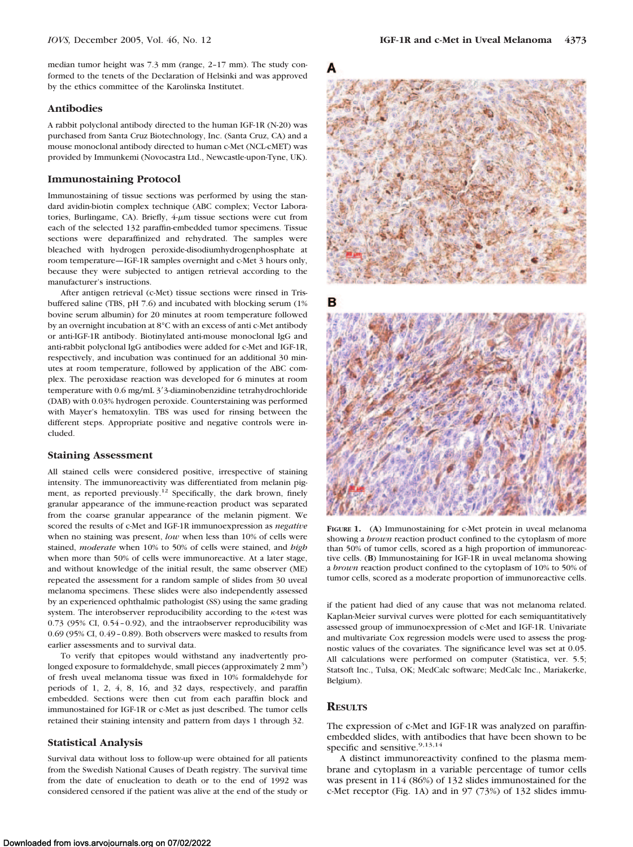median tumor height was 7.3 mm (range, 2–17 mm). The study conformed to the tenets of the Declaration of Helsinki and was approved by the ethics committee of the Karolinska Institutet.

#### **Antibodies**

A rabbit polyclonal antibody directed to the human IGF-1R (N-20) was purchased from Santa Cruz Biotechnology, Inc. (Santa Cruz, CA) and a mouse monoclonal antibody directed to human c-Met (NCL-cMET) was provided by Immunkemi (Novocastra Ltd., Newcastle-upon-Tyne, UK).

#### **Immunostaining Protocol**

Immunostaining of tissue sections was performed by using the standard avidin-biotin complex technique (ABC complex; Vector Laboratories, Burlingame, CA). Briefly,  $4-\mu m$  tissue sections were cut from each of the selected 132 paraffin-embedded tumor specimens. Tissue sections were deparaffinized and rehydrated. The samples were bleached with hydrogen peroxide-disodiumhydrogenphosphate at room temperature—IGF-1R samples overnight and c-Met 3 hours only, because they were subjected to antigen retrieval according to the manufacturer's instructions.

After antigen retrieval (c-Met) tissue sections were rinsed in Trisbuffered saline (TBS, pH 7.6) and incubated with blocking serum (1% bovine serum albumin) for 20 minutes at room temperature followed by an overnight incubation at 8°C with an excess of anti c-Met antibody or anti-IGF-1R antibody. Biotinylated anti-mouse monoclonal IgG and anti-rabbit polyclonal IgG antibodies were added for c-Met and IGF-1R, respectively, and incubation was continued for an additional 30 minutes at room temperature, followed by application of the ABC complex. The peroxidase reaction was developed for 6 minutes at room temperature with 0.6 mg/mL 3'3-diaminobenzidine tetrahydrochloride (DAB) with 0.03% hydrogen peroxide. Counterstaining was performed with Mayer's hematoxylin. TBS was used for rinsing between the different steps. Appropriate positive and negative controls were included.

#### **Staining Assessment**

All stained cells were considered positive, irrespective of staining intensity. The immunoreactivity was differentiated from melanin pigment, as reported previously.<sup>12</sup> Specifically, the dark brown, finely granular appearance of the immune-reaction product was separated from the coarse granular appearance of the melanin pigment. We scored the results of c-Met and IGF-1R immunoexpression as *negative* when no staining was present, *low* when less than 10% of cells were stained, *moderate* when 10% to 50% of cells were stained, and *high* when more than 50% of cells were immunoreactive. At a later stage, and without knowledge of the initial result, the same observer (ME) repeated the assessment for a random sample of slides from 30 uveal melanoma specimens. These slides were also independently assessed by an experienced ophthalmic pathologist (SS) using the same grading system. The interobserver reproducibility according to the  $\kappa$ -test was 0.73 (95% CI, 0.54 – 0.92), and the intraobserver reproducibility was 0.69 (95% CI, 0.49 – 0.89). Both observers were masked to results from earlier assessments and to survival data.

To verify that epitopes would withstand any inadvertently prolonged exposure to formaldehyde, small pieces (approximately  $2 \text{ mm}^3$ ) of fresh uveal melanoma tissue was fixed in 10% formaldehyde for periods of 1, 2, 4, 8, 16, and 32 days, respectively, and paraffin embedded. Sections were then cut from each paraffin block and immunostained for IGF-1R or c-Met as just described. The tumor cells retained their staining intensity and pattern from days 1 through 32.

#### **Statistical Analysis**

Survival data without loss to follow-up were obtained for all patients from the Swedish National Causes of Death registry. The survival time from the date of enucleation to death or to the end of 1992 was considered censored if the patient was alive at the end of the study or



в



**FIGURE 1.** (**A**) Immunostaining for c-Met protein in uveal melanoma showing a *brown* reaction product confined to the cytoplasm of more than 50% of tumor cells, scored as a high proportion of immunoreactive cells. (**B**) Immunostaining for IGF-1R in uveal melanoma showing a *brown* reaction product confined to the cytoplasm of 10% to 50% of tumor cells, scored as a moderate proportion of immunoreactive cells.

if the patient had died of any cause that was not melanoma related. Kaplan-Meier survival curves were plotted for each semiquantitatively assessed group of immunoexpression of c-Met and IGF-1R. Univariate and multivariate Cox regression models were used to assess the prognostic values of the covariates. The significance level was set at 0.05. All calculations were performed on computer (Statistica, ver. 5.5; Statsoft Inc., Tulsa, OK; MedCalc software; MedCalc Inc., Mariakerke, Belgium).

## **RESULTS**

The expression of c-Met and IGF-1R was analyzed on paraffinembedded slides, with antibodies that have been shown to be specific and sensitive.<sup>9,13,14</sup>

A distinct immunoreactivity confined to the plasma membrane and cytoplasm in a variable percentage of tumor cells was present in 114 (86%) of 132 slides immunostained for the c-Met receptor (Fig. 1A) and in 97 (73%) of 132 slides immu-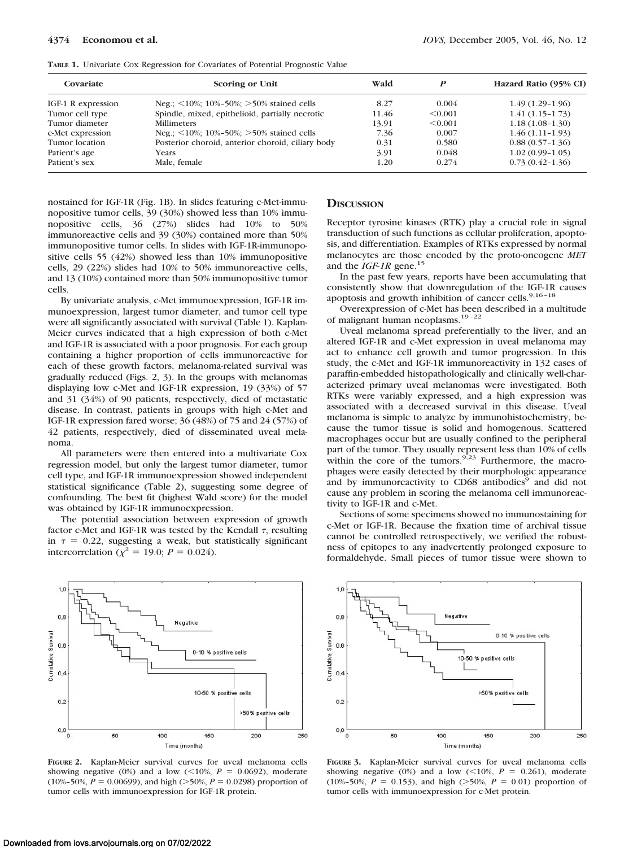| Covariate          | Scoring or Unit                                    | Wald  |         | Hazard Ratio (95% CI) |
|--------------------|----------------------------------------------------|-------|---------|-----------------------|
| IGF-1 R expression | Neg.: $\leq 10\%$ : 10%-50%: $>50\%$ stained cells | 8.27  | 0.004   | $1.49(1.29-1.96)$     |
| Tumor cell type    | Spindle, mixed, epithelioid, partially necrotic    | 11.46 | < 0.001 | $1.41(1.15-1.73)$     |
| Tumor diameter     | <b>Millimeters</b>                                 | 13.91 | < 0.001 | $1.18(1.08-1.30)$     |
| c-Met expression   | Neg.; $\leq 10\%$ ; 10%-50%; $>50\%$ stained cells | 7.36  | 0.007   | $1.46(1.11-1.93)$     |
| Tumor location     | Posterior choroid, anterior choroid, ciliary body  | 0.31  | 0.580   | $0.88(0.57-1.36)$     |
| Patient's age      | Years                                              | 3.91  | 0.048   | $1.02(0.99-1.05)$     |
| Patient's sex      | Male, female                                       | 1.20  | 0.274   | $0.73(0.42 - 1.36)$   |

**TABLE 1.** Univariate Cox Regression for Covariates of Potential Prognostic Value

nostained for IGF-1R (Fig. 1B). In slides featuring c-Met-immunopositive tumor cells, 39 (30%) showed less than 10% immunopositive cells, 36 (27%) slides had 10% to 50% immunoreactive cells and 39 (30%) contained more than 50% immunopositive tumor cells. In slides with IGF-1R-immunopositive cells 55 (42%) showed less than 10% immunopositive cells, 29 (22%) slides had 10% to 50% immunoreactive cells, and 13 (10%) contained more than 50% immunopositive tumor cells.

By univariate analysis, c-Met immunoexpression, IGF-1R immunoexpression, largest tumor diameter, and tumor cell type were all significantly associated with survival (Table 1). Kaplan-Meier curves indicated that a high expression of both c-Met and IGF-1R is associated with a poor prognosis. For each group containing a higher proportion of cells immunoreactive for each of these growth factors, melanoma-related survival was gradually reduced (Figs. 2, 3). In the groups with melanomas displaying low c-Met and IGF-1R expression, 19 (33%) of 57 and 31 (34%) of 90 patients, respectively, died of metastatic disease. In contrast, patients in groups with high c-Met and IGF-1R expression fared worse; 36 (48%) of 75 and 24 (57%) of 42 patients, respectively, died of disseminated uveal melanoma.

All parameters were then entered into a multivariate Cox regression model, but only the largest tumor diameter, tumor cell type, and IGF-1R immunoexpression showed independent statistical significance (Table 2), suggesting some degree of confounding. The best fit (highest Wald score) for the model was obtained by IGF-1R immunoexpression.

The potential association between expression of growth factor c-Met and IGF-1R was tested by the Kendall  $\tau$ , resulting in  $\tau = 0.22$ , suggesting a weak, but statistically significant intercorrelation ( $\chi^2$  = 19.0; *P* = 0.024).



**FIGURE 2.** Kaplan-Meier survival curves for uveal melanoma cells showing negative (0%) and a low ( $\leq$ 10%, *P* = 0.0692), moderate  $(10\% - 50\%, P = 0.00699)$ , and high (>50%,  $P = 0.0298$ ) proportion of tumor cells with immunoexpression for IGF-1R protein.

#### **DISCUSSION**

Receptor tyrosine kinases (RTK) play a crucial role in signal transduction of such functions as cellular proliferation, apoptosis, and differentiation. Examples of RTKs expressed by normal melanocytes are those encoded by the proto-oncogene *MET* and the *IGF-1R* gene.<sup>15</sup>

In the past few years, reports have been accumulating that consistently show that downregulation of the IGF-1R causes apoptosis and growth inhibition of cancer cells.<sup>9,16-18</sup>

Overexpression of c-Met has been described in a multitude of malignant human neoplasms.<sup>19-22</sup>

Uveal melanoma spread preferentially to the liver, and an altered IGF-1R and c-Met expression in uveal melanoma may act to enhance cell growth and tumor progression. In this study, the c-Met and IGF-1R immunoreactivity in 132 cases of paraffin-embedded histopathologically and clinically well-characterized primary uveal melanomas were investigated. Both RTKs were variably expressed, and a high expression was associated with a decreased survival in this disease. Uveal melanoma is simple to analyze by immunohistochemistry, because the tumor tissue is solid and homogenous. Scattered macrophages occur but are usually confined to the peripheral part of the tumor. They usually represent less than 10% of cells within the core of the tumors.  $9.23$  Furthermore, the macrophages were easily detected by their morphologic appearance and by immunoreactivity to CD68 antibodies<sup>9</sup> and did not cause any problem in scoring the melanoma cell immunoreactivity to IGF-1R and c-Met.

Sections of some specimens showed no immunostaining for c-Met or IGF-1R. Because the fixation time of archival tissue cannot be controlled retrospectively, we verified the robustness of epitopes to any inadvertently prolonged exposure to formaldehyde. Small pieces of tumor tissue were shown to



**FIGURE 3.** Kaplan-Meier survival curves for uveal melanoma cells showing negative (0%) and a low ( $\leq 10\%$ , *P* = 0.261), moderate  $(10\% - 50\%, P = 0.153)$ , and high (>50%,  $P = 0.01$ ) proportion of tumor cells with immunoexpression for c-Met protein.